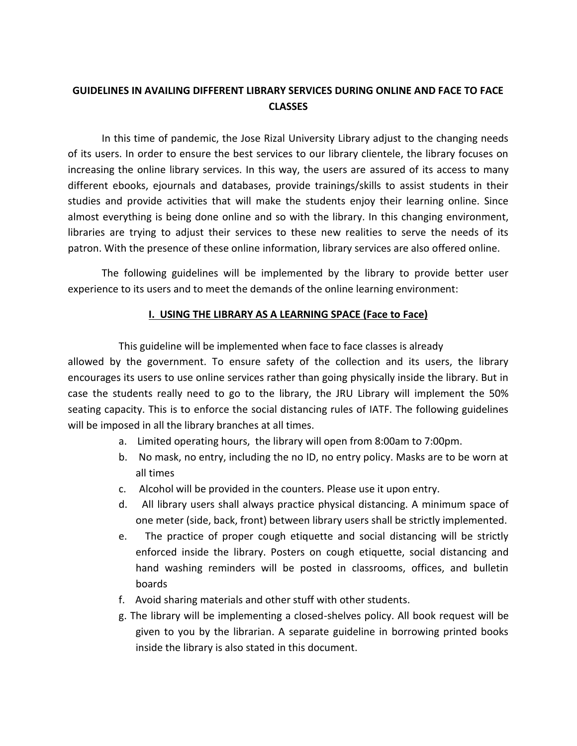## **GUIDELINES IN AVAILING DIFFERENT LIBRARY SERVICES DURING ONLINE AND FACE TO FACE CLASSES**

In this time of pandemic, the Jose Rizal University Library adjust to the changing needs of its users. In order to ensure the best services to our library clientele, the library focuses on increasing the online library services. In this way, the users are assured of its access to many different ebooks, ejournals and databases, provide trainings/skills to assist students in their studies and provide activities that will make the students enjoy their learning online. Since almost everything is being done online and so with the library. In this changing environment, libraries are trying to adjust their services to these new realities to serve the needs of its patron. With the presence of these online information, library services are also offered online.

The following guidelines will be implemented by the library to provide better user experience to its users and to meet the demands of the online learning environment:

### **I. USING THE LIBRARY AS A LEARNING SPACE (Face to Face)**

This guideline will be implemented when face to face classes is already

allowed by the government. To ensure safety of the collection and its users, the library encourages its users to use online services rather than going physically inside the library. But in case the students really need to go to the library, the JRU Library will implement the 50% seating capacity. This is to enforce the social distancing rules of IATF. The following guidelines will be imposed in all the library branches at all times.

- a. Limited operating hours, the library will open from 8:00am to 7:00pm.
- b. No mask, no entry, including the no ID, no entry policy. Masks are to be worn at all times
- c. Alcohol will be provided in the counters. Please use it upon entry.
- d. All library users shall always practice physical distancing. A minimum space of one meter (side, back, front) between library users shall be strictly implemented.
- e. The practice of proper cough etiquette and social distancing will be strictly enforced inside the library. Posters on cough etiquette, social distancing and hand washing reminders will be posted in classrooms, offices, and bulletin boards
- f. Avoid sharing materials and other stuff with other students.
- g. The library will be implementing a closed-shelves policy. All book request will be given to you by the librarian. A separate guideline in borrowing printed books inside the library is also stated in this document.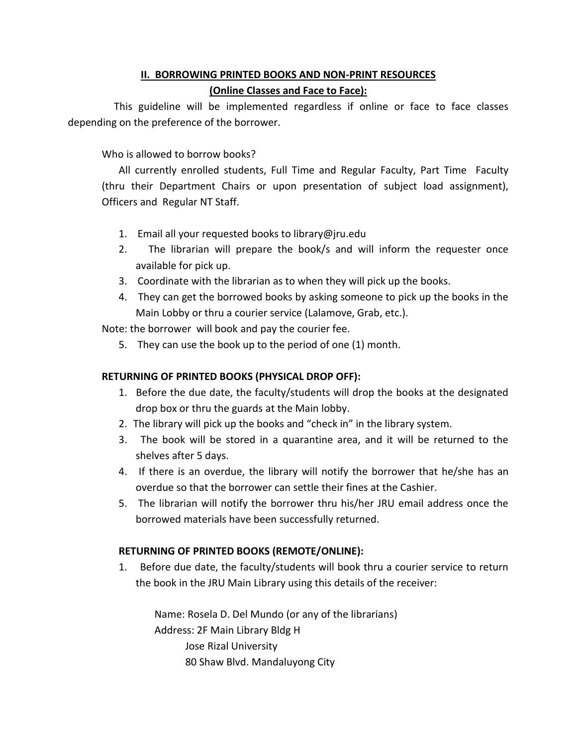# **II. BORROWING PRINTED BOOKS AND NON-PRINT RESOURCES**

### **(Online Classes and Face to Face):**

 This guideline will be implemented regardless if online or face to face classes depending on the preference of the borrower.

Who is allowed to borrow books?

All currently enrolled students, Full Time and Regular Faculty, Part Time Faculty (thru their Department Chairs or upon presentation of subject load assignment), Officers and Regular NT Staff.

- 1. Email all your requested books to library@jru.edu
- 2. The librarian will prepare the book/s and will inform the requester once available for pick up.
- 3. Coordinate with the librarian as to when they will pick up the books.
- 4. They can get the borrowed books by asking someone to pick up the books in the Main Lobby or thru a courier service (Lalamove, Grab, etc.).

Note: the borrower will book and pay the courier fee.

5. They can use the book up to the period of one (1) month.

### **RETURNING OF PRINTED BOOKS (PHYSICAL DROP OFF):**

- 1. Before the due date, the faculty/students will drop the books at the designated drop box or thru the guards at the Main lobby.
- 2. The library will pick up the books and "check in" in the library system.
- 3. The book will be stored in a quarantine area, and it will be returned to the shelves after 5 days.
- 4. If there is an overdue, the library will notify the borrower that he/she has an overdue so that the borrower can settle their fines at the Cashier.
- 5. The librarian will notify the borrower thru his/her JRU email address once the borrowed materials have been successfully returned.

### **RETURNING OF PRINTED BOOKS (REMOTE/ONLINE):**

1. Before due date, the faculty/students will book thru a courier service to return the book in the JRU Main Library using this details of the receiver:

 Name: Rosela D. Del Mundo (or any of the librarians) Address: 2F Main Library Bldg H Jose Rizal University 80 Shaw Blvd. Mandaluyong City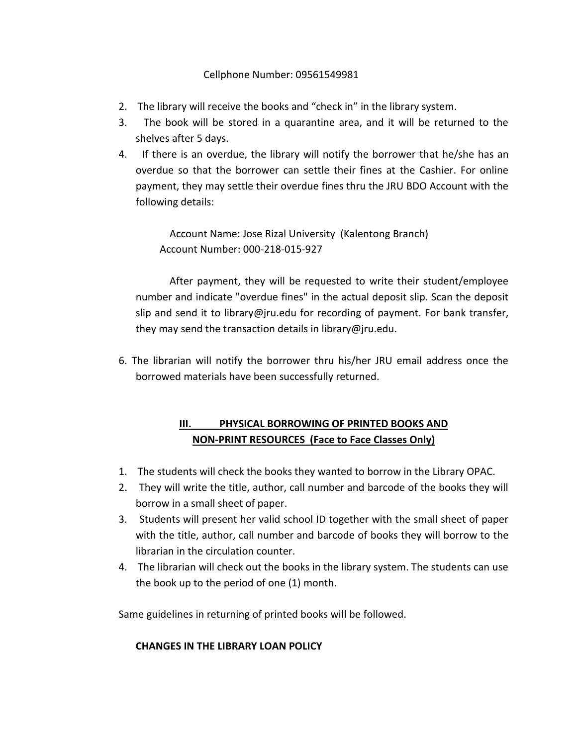### Cellphone Number: 09561549981

- 2. The library will receive the books and "check in" in the library system.
- 3. The book will be stored in a quarantine area, and it will be returned to the shelves after 5 days.
- 4. If there is an overdue, the library will notify the borrower that he/she has an overdue so that the borrower can settle their fines at the Cashier. For online payment, they may settle their overdue fines thru the JRU BDO Account with the following details:

Account Name: Jose Rizal University (Kalentong Branch) Account Number: 000-218-015-927

After payment, they will be requested to write their student/employee number and indicate "overdue fines" in the actual deposit slip. Scan the deposit slip and send it to library@jru.edu for recording of payment. For bank transfer, they may send the transaction details in library@jru.edu.

6. The librarian will notify the borrower thru his/her JRU email address once the borrowed materials have been successfully returned.

# **III. PHYSICAL BORROWING OF PRINTED BOOKS AND NON-PRINT RESOURCES (Face to Face Classes Only)**

- 1. The students will check the books they wanted to borrow in the Library OPAC.
- 2. They will write the title, author, call number and barcode of the books they will borrow in a small sheet of paper.
- 3. Students will present her valid school ID together with the small sheet of paper with the title, author, call number and barcode of books they will borrow to the librarian in the circulation counter.
- 4. The librarian will check out the books in the library system. The students can use the book up to the period of one (1) month.

Same guidelines in returning of printed books will be followed.

#### **CHANGES IN THE LIBRARY LOAN POLICY**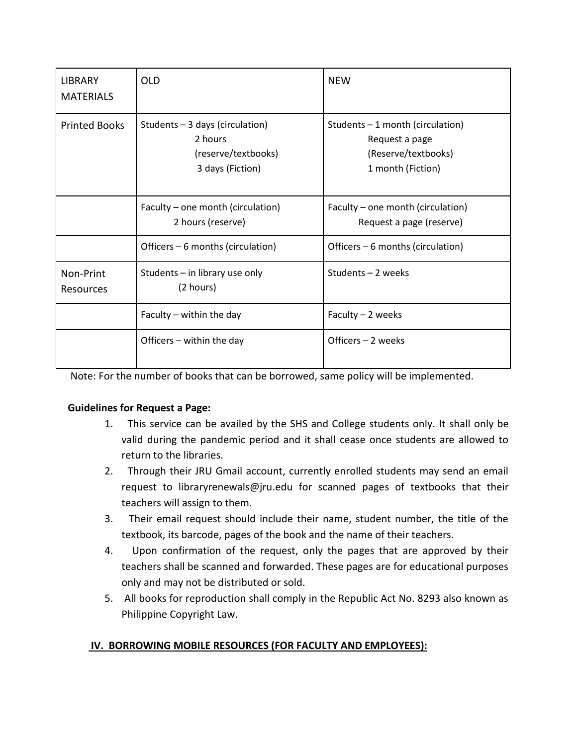| <b>LIBRARY</b><br><b>MATERIALS</b> | <b>OLD</b>                                                                            | <b>NEW</b>                                                                                      |
|------------------------------------|---------------------------------------------------------------------------------------|-------------------------------------------------------------------------------------------------|
| <b>Printed Books</b>               | Students - 3 days (circulation)<br>2 hours<br>(reserve/textbooks)<br>3 days (Fiction) | Students $-1$ month (circulation)<br>Request a page<br>(Reserve/textbooks)<br>1 month (Fiction) |
|                                    | Faculty – one month (circulation)<br>2 hours (reserve)                                | Faculty – one month (circulation)<br>Request a page (reserve)                                   |
|                                    | Officers – 6 months (circulation)                                                     | Officers – 6 months (circulation)                                                               |
| Non-Print<br>Resources             | Students $-$ in library use only<br>(2 hours)                                         | Students - 2 weeks                                                                              |
|                                    | Faculty $-$ within the day                                                            | Faculty - 2 weeks                                                                               |
|                                    | Officers - within the day                                                             | Officers - 2 weeks                                                                              |

Note: For the number of books that can be borrowed, same policy will be implemented.

## **Guidelines for Request a Page:**

- 1. This service can be availed by the SHS and College students only. It shall only be valid during the pandemic period and it shall cease once students are allowed to return to the libraries.
- 2. Through their JRU Gmail account, currently enrolled students may send an email request to libraryrenewals@jru.edu for scanned pages of textbooks that their teachers will assign to them.
- 3. Their email request should include their name, student number, the title of the textbook, its barcode, pages of the book and the name of their teachers.
- 4. Upon confirmation of the request, only the pages that are approved by their teachers shall be scanned and forwarded. These pages are for educational purposes only and may not be distributed or sold.
- 5. All books for reproduction shall comply in the Republic Act No. 8293 also known as Philippine Copyright Law.

# **IV. BORROWING MOBILE RESOURCES (FOR FACULTY AND EMPLOYEES):**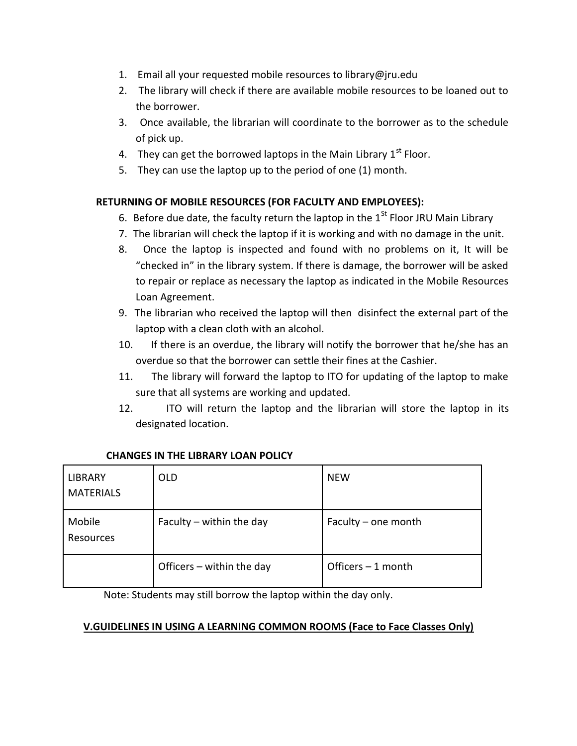- 1. Email all your requested mobile resources to library@jru.edu
- 2. The library will check if there are available mobile resources to be loaned out to the borrower.
- 3. Once available, the librarian will coordinate to the borrower as to the schedule of pick up.
- 4. They can get the borrowed laptops in the Main Library  $1<sup>st</sup>$  Floor.
- 5. They can use the laptop up to the period of one (1) month.

### **RETURNING OF MOBILE RESOURCES (FOR FACULTY AND EMPLOYEES):**

- 6. Before due date, the faculty return the laptop in the  $1<sup>St</sup>$  Floor JRU Main Library
- 7. The librarian will check the laptop if it is working and with no damage in the unit.
- 8. Once the laptop is inspected and found with no problems on it, It will be "checked in" in the library system. If there is damage, the borrower will be asked to repair or replace as necessary the laptop as indicated in the Mobile Resources Loan Agreement.
- 9. The librarian who received the laptop will then disinfect the external part of the laptop with a clean cloth with an alcohol.
- 10. If there is an overdue, the library will notify the borrower that he/she has an overdue so that the borrower can settle their fines at the Cashier.
- 11. The library will forward the laptop to ITO for updating of the laptop to make sure that all systems are working and updated.
- 12. ITO will return the laptop and the librarian will store the laptop in its designated location.

| <b>LIBRARY</b><br><b>MATERIALS</b> | <b>OLD</b>                | <b>NEW</b>          |
|------------------------------------|---------------------------|---------------------|
| Mobile<br>Resources                | Faculty - within the day  | Faculty – one month |
|                                    | Officers - within the day | Officers $-1$ month |

## **CHANGES IN THE LIBRARY LOAN POLICY**

Note: Students may still borrow the laptop within the day only.

### **V.GUIDELINES IN USING A LEARNING COMMON ROOMS (Face to Face Classes Only)**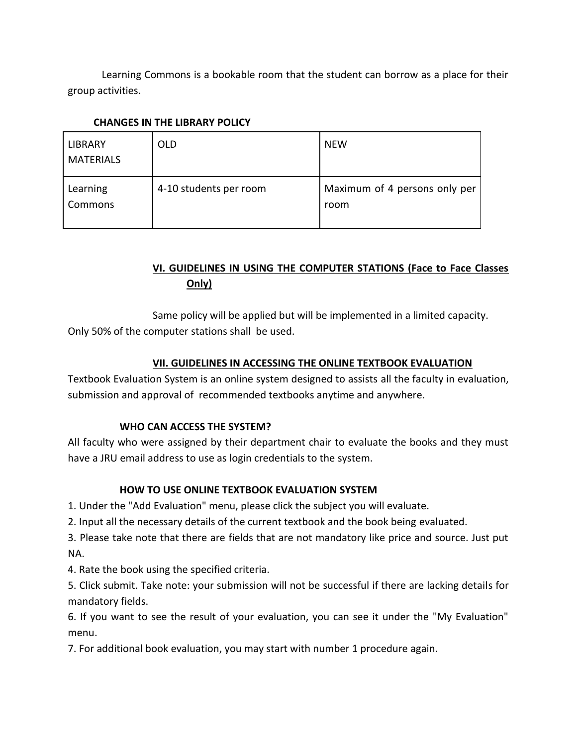Learning Commons is a bookable room that the student can borrow as a place for their group activities.

| <b>LIBRARY</b><br><b>MATERIALS</b> | <b>OLD</b>             | <b>NEW</b>                            |
|------------------------------------|------------------------|---------------------------------------|
| Learning<br>Commons                | 4-10 students per room | Maximum of 4 persons only per<br>room |

### **CHANGES IN THE LIBRARY POLICY**

# **VI. GUIDELINES IN USING THE COMPUTER STATIONS (Face to Face Classes Only)**

Same policy will be applied but will be implemented in a limited capacity. Only 50% of the computer stations shall be used.

### **VII. GUIDELINES IN ACCESSING THE ONLINE TEXTBOOK EVALUATION**

Textbook Evaluation System is an online system designed to assists all the faculty in evaluation, submission and approval of recommended textbooks anytime and anywhere.

### **WHO CAN ACCESS THE SYSTEM?**

All faculty who were assigned by their department chair to evaluate the books and they must have a JRU email address to use as login credentials to the system.

## **HOW TO USE ONLINE TEXTBOOK EVALUATION SYSTEM**

1. Under the "Add Evaluation" menu, please click the subject you will evaluate.

2. Input all the necessary details of the current textbook and the book being evaluated.

3. Please take note that there are fields that are not mandatory like price and source. Just put NA.

4. Rate the book using the specified criteria.

5. Click submit. Take note: your submission will not be successful if there are lacking details for mandatory fields.

6. If you want to see the result of your evaluation, you can see it under the "My Evaluation" menu.

7. For additional book evaluation, you may start with number 1 procedure again.